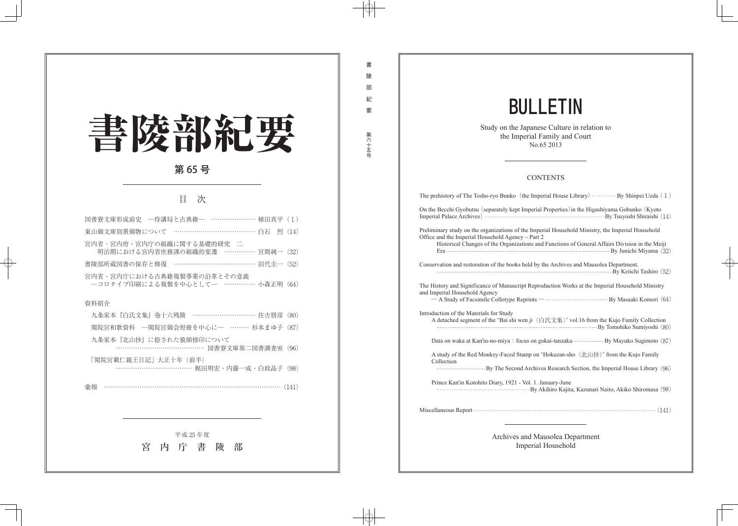## 書陵部紀要 第65号

## 次 目

| 図書寮文庫形成前史 - 一侍講局と古典籍― ………………… 植田真平(1)                               |  |  |  |  |
|---------------------------------------------------------------------|--|--|--|--|
| 東山御文庫別置御物について …………………………………… 白石 烈 (14)                              |  |  |  |  |
| 宮内省・宮内府・宮内庁の組織に関する基礎的研究 二<br>明治期における宮内省庶務課の組織的変遷 …………… 宮間純一 (32)    |  |  |  |  |
| 書陵部所蔵図書の保存と修復 ………………………………… 田代圭一 (52)                               |  |  |  |  |
| 宮内省・宮内庁における古典籍複製事業の沿革とその意義<br>- コロタイプ印刷による複製を中心として- …………… 小森正明 (64) |  |  |  |  |
| 資料紹介                                                                |  |  |  |  |
| 九条家本『白氏文集』巻十六残簡 ………………………… 住吉朋彦 (80)                                |  |  |  |  |
| 閑院宮和歌資料 –閑院宮御会短冊を中心に– ……… 杉本まゆ子 (87)                                |  |  |  |  |
| 九条家本『北山抄』に捺された猿顔様印について<br>…………………………………… 図書寮文庫第二図書調査室(96)           |  |  |  |  |
| 「閑院宮載仁親王日記」大正十年(前半)<br>……………………………… 梶田明宏・内藤一成・白政晶子(98)              |  |  |  |  |
| 彙報                                                                  |  |  |  |  |
|                                                                     |  |  |  |  |
|                                                                     |  |  |  |  |
| 平成25年度                                                              |  |  |  |  |
| 内 庁 書<br>宮<br>陵<br>部                                                |  |  |  |  |
|                                                                     |  |  |  |  |
|                                                                     |  |  |  |  |